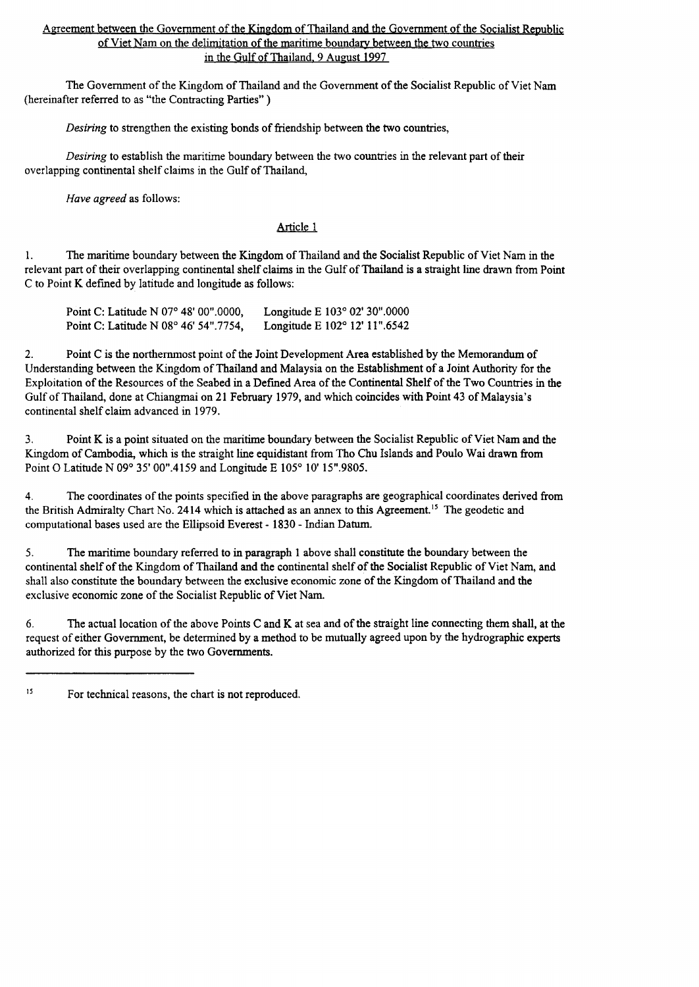# Agreement between the Government of the Kingdom of Thailand and the Government of the Socialist Republic of Viet Nam on the delimitation of the maritime boundary between the two countries in the Gulf of Thailand. 9 August 1997

The Government of the Kingdom of Thailand and the Government of the Socialist Republic of Viet Nam (hereinafter referred to as "the Contracting Parties" )

*Desiring* to strengthen the existing bonds of friendship **between** the two countries,

*Desiring* to establish the maritime boundary between the two countries in the relevant part of their overlapping continental shelf claims in the Gulf of Thailand,

*Have agreed* as follows:

### Article 1

1. The maritime boundary between the Kingdom of Thailand and the Socialist Republic of Viet Nam in the relevant part of their overlapping continental shelf claims in the Gulf of Thailand is a straight line drawn from Point C to Point K defmed by latitude and longitude as follows:

| Point C: Latitude N 07° 48' 00".0000, | Longitude E $103^{\circ}$ 02' 30".0000 |
|---------------------------------------|----------------------------------------|
| Point C: Latitude N 08° 46' 54".7754, | Longitude E $102^{\circ}$ 12' 11".6542 |

2. Point C is the northernmost point of the Joint Development Area established by the Memorandum of Understanding between the Kingdom of Thailand and Malaysia on the Establishment of a Joint Authority for the Exploitation of the Resources of the Seabed in a Defined Area of the Continental Shelf of the Two Countries in the Gulf of Thailand, done at Chiangmai on 21 February 1979, and which coincides with Point 43 of Malaysia's continental shelf claim advanced in 1979.

3. Point K is a point situated on the maritime boundary between the Socialist Republic of Viet Nam and the Kingdom of Cambodia, which is the straight line equidistant from Tho Chu Islands and Poulo Wai drawn from Point O Latitude N 09° 35' 00".4159 and Longitude E 105° 10' 15".9805.

4. The coordinates of the points specified in the above paragraphs are geographical coordinates derived from the British Admiralty Chart No. 2414 which is attached as an annex to this Agreement.<sup>15</sup> The geodetic and computational bases used are the Ellipsoid Everest- 1830 - Indian Datum.

*S.* The maritime boundary referred to in paragraph 1 above shall constitute the boundary between the continental shelf of the Kingdom of Thailand and the continental shelf of the Socialist Republic of Viet Nam, and shall also constitute the boundary between the exclusive economic zone of the Kingdom of Thailand and the exclusive economic zone of the Socialist Republic of Viet Nam.

6. The actual location of the above Points C and K at sea and of the straight line connecting them shall, at the request of either Government, be determined by a method to be mutually agreed upon by the hydrographic experts authorized for this purpose by the two Governments.

IS For technical reasons, the chart is not reproduced.